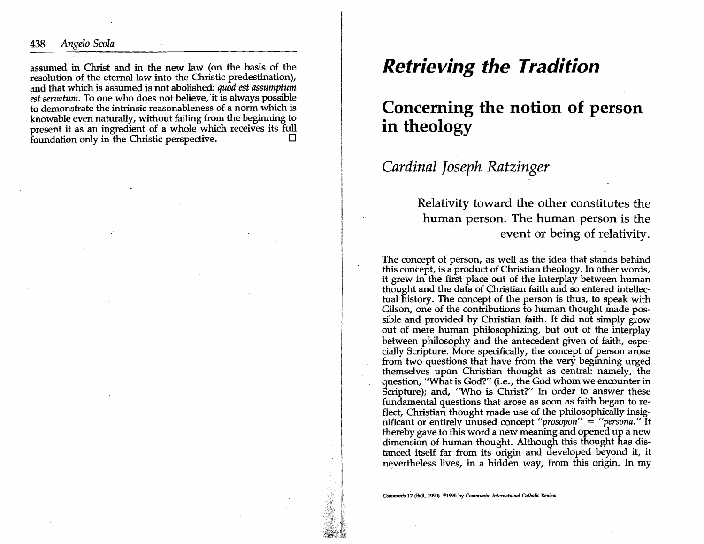#### Angelo Scola 438

assumed in Christ **and in** the new law (on the basis of the resolution of the eternal law into the Christic predestination), and that which is assumed is not abolished: quod est assumptum est servatum. To one who does not believe, it is always possible to demonstrate the intrinsic reasonableness of a norm which is knowable even naturally, without **failing** from the beginning to present it as an ingredient of a whole which receives its full foundation only in the Christic perspective. foundation only in the Christic perspective.

# **Retrieving the Tradition**

## **Concerning the notion of person in theology**

*Cardinal Joseph Ratzinger* 

Relativity toward the other constitutes the human person. The human person is the event or being of relativity.

The concept of person, as well as the idea that stands behind this concept, is a product of Christian theology. In other words, it grew in the first place out of the interplay between human thought and the data of Christian faith and so entered intellectual history. The concept of the person is thus, to speak with Gilson, one of the contributions to human thought made possible and provided by Christian faith. It **did** not simply grow out of mere human philosophizing, but out of the interplay between philosophy and the antecedent given of faith, especially Scripture. More specifically, the concept of person arose from two questions that have from the very beginning urged themselves upon Christian thought as central: namely, the question, 'What is God?" (i.e., the God whom we encounter in Scripture); and, "Who is Christ?" In order to answer these fundamental questions that arose as soon as faith began to reflect, Christian thought made use of the philosophically insignificant or entirely unused concept "prosopon" = "persona." It thereby gave to this word a new meaning and opened up a new dimension of human thought. Although this thought has distanced itself far from its origin and developed beyond it, it nevertheless lives, in a hidden way, from this origin. In my

**Communio** \$ **(Fall, 1990). el990 by Communio: lnternaiional** *Catholic* Review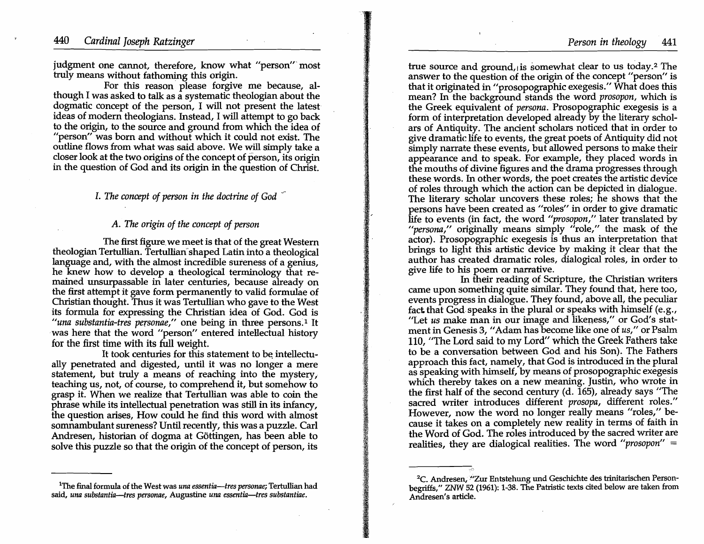## 440 *Cardinal Joseph Ratzinger*

judgment one cannot, therefore, know what "person"' most truly means without fathoming this origin.

For this reason please forgive me because, although I was asked to talk as a systematic theologian about the dogmatic concept of the person, I will not present the latest ideas of modern theologians. Instead, I will attempt to go back to the origin, to the source and ground from which the idea of "person" was born and without which it could not exist. The outline flows from what was said above. We will simply take a closer look at the two origins of the concept of person, its origin in the question of God and its origin in the question of Christ.

## I. The concept of person in the doctrine of God  $\degree$

## A. The origin of the concept of person

The first figure we meet is that of the great Western theologian Tertullian. Tertullian shaped Latin into a theological language and, with the almost incredible sureness of a genius, he knew how to develop a theological terminology that remained unsurpassable in later centuries, because already on the first attempt it gave form permanently to valid formulae of Christian thought. Thus it was Tertullian who gave to the West its formula for expressing the Christian idea of God. God is "una substantia-tres personae," one being in three persons.<sup>1</sup> It was here that the word "person" entered intellectual history for the first time with its full weight.

It took centuries for this statement to be intellectually penetrated and digested, until it was no longer a mere statement, but truly a means of reaching into the mystery, teaching us, not, of course, to comprehend it, but somehow to grasp it. When we realize that Tertullian was able to coin the phrase while its intellectual penetration was still in its infancy, the question arises, How could he find this word with almost somnambulant sureness? Until recently, this was a puzzle. Carl Andresen, historian of dogma at Gottingen, has been able to solve this puzzle so that the origin of the concept of person, its

true source and ground,/ is somewhat clear to us today? The answer to the question of the origin of the concept "person" is that it originated in "prosopographic exegesis." What does this mean? In the background stands the word prosopon, which is the Greek equivalent of persona. Prosopographic exegesis is a form of interpretation developed already by the literary scholars of Antiquity. The ancient scholars noticed that in order to give dramatic: life to events, the great poets of Antiquity did not simply narrate these events, but allowed persons to make their appearance and to speak. For example, they placed words in the mouths of divine figures and the drama progresses through these words. In other words, the poet creates the artistic device of roles through which the action can be depicted in dialogue. The literary scholar uncovers these roles; he shows that the persons have been created as "roles" in order to give dramatic<br>life to events (in fact, the word "prosopon," later translated by life to events (in fact, the word "prosopon," later translated by **I1** persona," originally means simply "role," the mask of the actor). Prosopographic exegesis is thus an interpretation that brings to light this artistic device by making it clear that the author has created dramatic roles, dialogical roles, in order to give life to his poem or narrative.

In their reading of Scripture, the Christian writers came upon something quite similar. They found that, here too, events progress in dialogue. They found, above all, the peculiar fact that God speaks in the plural or speaks with himself (e.g., "Let us make man in our image and likeness," or God's statment in Genesis 3, "Adam has become like one of us," or Psalm 110, "The Lord said to my Lord" which the Greek Fathers take to be a conversation between God and his Son). The Fathers approach this fact, namely, that God is introduced in the plural as speaking with himself, by means of prosopographic exegesis which thereby takes on a new meaning. Justin, who wrote in the first half of the second century (d. **165),** already says "The sacred writer introduces different prosopa, different roles." However, now the word no longer really means "roles," because it takes on a completely new reality in terms of faith in the Word of God. The roles introduced by the sacred writer are realities, they are dialogical realities. The word "prosopon" =

... :

**<sup>&#</sup>x27;The final formula of the West was** *una essentia-tres personae;* **TertuUian had said,** *una su bstan tia--t personae,* **Augustine** *una essen tia-tres su bstan tiae.* 

<sup>&</sup>lt;sup>2</sup>C. Andresen, "Zur Entstehung und Geschichte des trinitarischen Person**begiffs,"** *ZNW* **52 (1961): 1-38. The Patristic texts ated below are taken from Andresen's article.**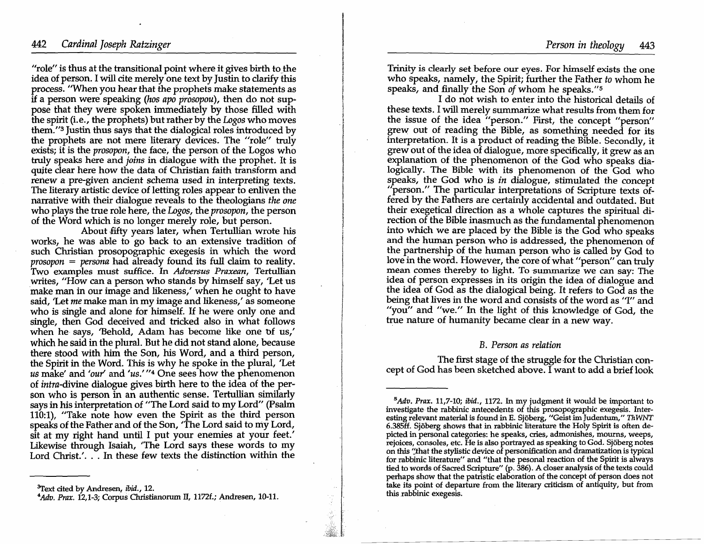"role" is thus at the transitional point where it gives birth to the idea of person. I **will** cite merely one text by Justin to **danfy** this process. "When you hear that the prophets make statements as **if** a person were speaking (hos apo prosopou), then do not suppose that they were spoken immediately by those filled with the spirit (i.e., the prophets) but rather by the Logos who moves them."3 Justin thus says that the dialogical roles introduced by the prophets are not mere literary devices. The "role" truly exists; it is the prosopon, the face, the person of the Logos who **truly** speaks here and joins in dialogue with the prophet. It is quite clear here how the data of Christian faith transform and renew a pre-given ancient schema used in interpreting texts. The literary artistic device of letting roles appear to enliven the narrative with their dialogue reveals to the theologians the one who plays the true role here, the Logos, the prosopon, the person of the Word which is no longer merely role, but person.

About fifty years later, when Tertullian wrote his works, he was able to go back to an extensive tradition of such Christian prosopographic exegesis in which the word  $prosopon = persona$  had already found its full claim to reality. Two examples must suffice. In Adversus Praxean, Tertullian writes, "How can a person who stands by himself say, 'Let us make man in our image and likeness,' when he ought to have said, 'Let me make man in my image and likeness,' as someone who is single and alone for himself. If he were only one and single, then God deceived and tricked also in what follows when he says, 'Behold, Adam has become like one bf us,' which he said in the plural. But he did not stand alone, because there stood with him the Son, his Word, and a third person, the Spirit in the Word. This is why he spoke in the plural, 'Let us make' and 'our' and 'us.'"4 One sees how the phenomenon of intra-divine dialogue gives birth here to the idea of the person who is person in an authentic sense. Tertullian similarly says in his interpretation of "The Lord said to my Lord" (Psalm 110:1), "Take note how even the Spirit as the third person speaks of the Father and of the Son, 'The Lord said to my Lord, sit at my right hand **until** I put your enemies at your feet.' Likewise through Isaiah, 'The Lord says these words to my Lord Christ.'. . . In these few texts the distinction within the

Trinity is dearly set before our eyes. For himself exists the one who speaks, namely, the Spirit; further the Father to whom he speaks, and finally the Son of whom he speaks."<sup>5</sup>

I do not wish to enter into the historical details of these texts. I will merely summarize what results from them for the issue of the idea "person." First, the concept "person" grew out of reacling the Bible, as something needed for its interpretation. It is a product of reading the Bible. Secondly, it grew out of the idea of dialogue, more specifically, it grew as an explanation of the phenomenon of the God who speaks dialogically. The Bible with its phenomenon of the God who speaks, the God who is in dialogue, stimulated the concept "person." The particular interpretations of Scripture texts offered by the Fathers are certainly accidental and outdated. But their exegetical direction as a whole captures the spiritual direction of the Bible inasmuch as the fundamental phenomenon into which we are placed by the Bible is the God who speaks and the human person who is addressed, the phenomenon of the partnership of the human person who is called by God to love in the word. However, the core of what "person" can truly mean comes thereby to light. To **summarize** we can say: The idea of person expresses in its origin the idea of dialogue and the idea of God as the dialogical being. It refers to God as the being that lives in the word and consists of the word as "I" and "you" and "we." In the light of this knowledge of God, the true nature of humanity became clear in a new way.

### B. Person as relation

The first stage of the struggle for the Christian concept of God has been sketched above. I want to add a brief look

<sup>&</sup>lt;sup>3</sup>Text cited by Andresen, *ibid.*, 12.

**<sup>4</sup>Adv.** *Prax.* **12,l-3; Corpus Chris tianorum Il, 1172f** .; **Andresen, 10-21.** 

*<sup>&#</sup>x27;Adv. Prax.* **11,7-10; ibid., 1172. In my judgment it would be important to investigate. the rabbinic antecedents of this prosopographic exegesis. Interesting relevant material is found in E. Sjoberg, "Geist im Judentum,"** *ThWNT*  **6.385ff. Sjijberg shows that in rabbinic literature the Holy Spirit is often depicted in personal categories: he speaks, cries, admonishes, mourns, weeps, rejoices, consoles, etc. He is also portrayed as speaking to God. Sjoberg notes on this '3hat the stylistic device of personification and dramatization is typical for rabbinic literature" and "that the pesonal reaction of the Spirit is always tied to words of.Sacred Scripture" (p. 386). A closer analysis of the texts could perhaps show that the patristic elaboration of the concept of person does not take its point of departure from the literary criticism of antiquity, but from this .rabbinic exegesis.**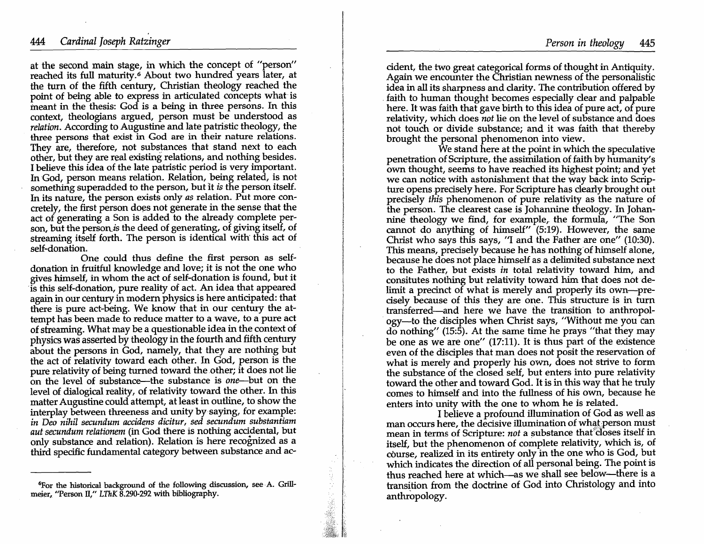#### Cardinal Joseph Ratzinger 444

at the second main stage, in which the concept of "person" reached its full maturity.<sup>6</sup> About two hundred years later, at the turn of the fifth century, Christian theology reached the point of being able to express in articulated concepts what is meant in the thesis: God is a being in three persons. In this context, theologians argued, person must be understood as relation. According to Augustine and late patristic theology, the three persons that exist in God are in their nature relations. They are, therefore, not substances that stand next to each other, but they are real existing relations, and nothing besides. I believe this idea of the late patristic period is very important. In God, person means relation. Relation, being related, is not something superadded to the person, but it is the person itself. In its nature, the person exists only as relation. Put more concretely, the first person does not generate in the sense that the act of generating a Son is added to the already complete person, but the person is the deed of generating, of giving itself, of streaming itself forth. The person is identical with this act of self-donation.

One could thus define the first person as selfdonation in fruitful knowledge and love; it is not the one who gives himself, in whom the act of self-donation is found, but it is this self-donation, pure reality of act. An idea that appeared again in our century in modern physics is here anticipated: that there is pure act-being. We know that in our century the attempt has been made to reduce matter to a wave, to a pure act of streaming. What may be a questionable idea in the context of physics was asserted by theology in the fourth and fifth century about the persons in God, namely, that they are nothing but the act of relativity toward each other. In God, person is the pure relativity of being turned toward the other; it does not lie on the level of substance—the substance is one—but on the level of dialogical reality, of relativity toward the other. In this matter Augustine could attempt, at least in outline, to show the interplay between threeness and unity by saying, for example: in Deo nihil secundum accidens dicitur, sed secundum substantiam aut secundum relationem (in God there is nothing accidental, but only substance and relation). Relation is here recognized as a third specific fundamental category between substance and ac-

cident, the two great categorical forms of thought in Antiquity. Again we encounter the Christian newness of the personalistic idea in all its sharpness and clarity. The contribution offered by faith to human thought becomes especially clear and palpable here. It was faith that gave birth to this idea of pure act, of pure relativity, which does not lie on the level of substance and does not touch or divide substance; and it was faith that thereby brought the personal phenomenon into view.

We stand here at the point in which the speculative penetration of Scripture, the assimilation of faith by humanity's own thought, seems to have reached its highest point; and yet we can notice with astonishment that the way back into Scripture opens precisely here. For Scripture has clearly brought out precisely this phenomenon of pure relativity as the nature of the person. The clearest case is Johannine theology. In Johannine theology we find, for example, the formula, "The Son cannot do anything of himself" (5:19). However, the same Christ who says this says, "I and the Father are one" (10:30). This means, precisely because he has nothing of himself alone, because he does not place himself as a delimited substance next to the Father, but exists in total relativity toward him, and consitutes nothing but relativity toward him that does not delimit a precinct of what is merely and properly its own---precisely because of this they are one. This structure is in turn transferred—and here we have the transition to anthropology—to the disciples when Christ says, "Without me you can do nothing" (15:5). At the same time he prays "that they may be one as we are one" (17:11). It is thus part of the existence even of the disciples that man does not posit the reservation of what is merely and properly his own, does not strive to form the substance of the closed self, but enters into pure relativity toward the other and toward God. It is in this way that he truly comes to himself and into the fullness of his own, because he enters into unity with the one to whom he is related.

I believe a profound illumination of God as well as man occurs here, the decisive illumination of what person must mean in terms of Scripture: not a substance that closes itself in itself, but the phenomenon of complete relativity, which is, of course, realized in its entirety only in the one who is God, but which indicates the direction of all personal being. The point is thus reached here at which-as we shall see below-there is a transition from the doctrine of God into Christology and into anthropology.

<sup>&</sup>lt;sup>6</sup>For the historical background of the following discussion, see A. Grillmeier, "Person II," LThK 8.290-292 with bibliography.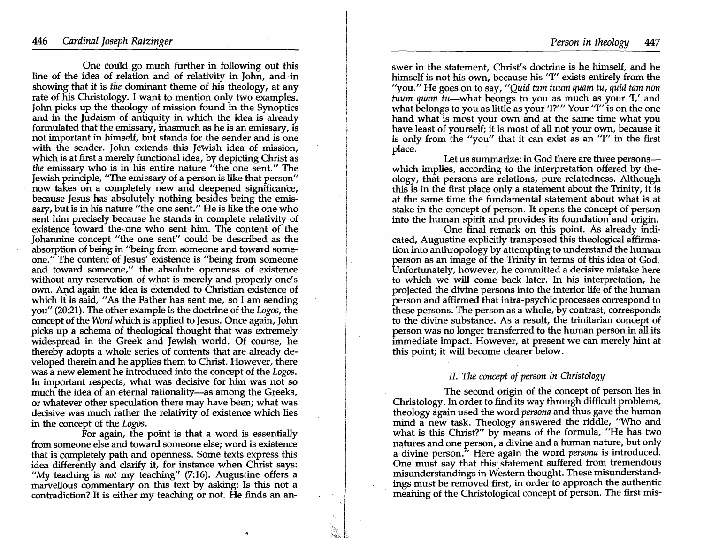## *446 Cardinal Joseph Ratzinger Person in theology 447*

One could go much further in following out this line of the idea of relation and of relativity in John, and in showing that it is the dominant theme of his theology, at any rate of his Christology. I want to mention only two examples. John picks up the theology of mission found in the Synoptics **and** in the Judaism of antiquity in which the idea is already formulated that the emissary, inasmuch as he is an emissary, is not important in himself, but stands for the sender and is one with the sender. John extends this Jewish idea of mission, which is at first a merely functional idea, by depicting Christ as the emissary who is in his entire nature "the one sent." The Jewish principle, "The emissary of a person is like that person" now takes on a completely new and deepened significance, because Jesus has absolutely nothing besides being the emissary, but is **in** his nature "the one sent." He is like the one who sent him precisely because he stands in complete relativity of existence toward the~one who sent him. The content of the Johannine concept "the one sent" could be described as the absorption of being in "being from someone and toward someone." The content of Jesus' existence is "being from someone and toward someone," the absolute openness of existence without any reservation of what is merely and properly one's own. And again the idea is extended to Christian existence of which it is said, "As the Father has sent me, so I am sending you" (20:21). The other example is the doctrine of the Logos, the concept of the Word which is applied to Jesus. Once again, John picks up a schema of theological thought that was extremely widespread in the Greek and Jewish world. Of course, he thereby adopts a whole series of contents that are already developed therein and he applies them to Christ. However, there was a new element he introduced into the concept of the Logos. In important respects, what was decisive for him was not so much the idea of an eternal rationality—as among the Greeks, or whatever other speculation there may have been; what was decisive was much rather the relativity of existence which lies in the concept of the Logos.

For again, the point is that a word is essentially from someone else and toward someone else; word is existence that is completely path and openness. Some texts express this idea differently and clarify it, for instance when Christ says: "My teaching is not my teaching" **(7:16).** Augustine offers a marvellous commentary on this text by asking: Is this not a contradiction? It is either my teaching or not. He finds an answer in the statement, Christ's doctrine is he himself, and he himself is not his own, because his "I" exists entirely from the "you." He goes on to say, "Quid tam tuum quam tu, quid tam non tuum quam tu—what beongs to you as much as your 'I,' and what belongs to you as little as your 'I?"' Your "I" is on the one hand what is most your own and at the same time what you have least of yourself; it is most of all not your own, because it is only from the "you" that it can exist as an "I" in the first place.

Let us summarize: in God there are three personswhich implies, according to the interpretation offered by theology, that persons are relations, pure relatedness. Although this is in the first place only a statement about the Trinity, it is at the same time the fundamental statement about what is at stake in the concept of person. It opens the concept of person into the human spirit and provides its foundation and origin.

One final remark on this point. As already indicated, Augustine explicitly transposed this theological affirmation into anthropology by attempting to understand the human person as an image of the Trinity in terms of this idea'of God. Unfortunately, however, he committed a decisive mistake here to which we will come back later. In his interpretation, he projected the divine persons into the interior life of the human person and affirmed that intra-psychic processes correspond to these persons. The person as a whole, by contrast, corresponds to the divine substance. As a result, the trinitarian concept of person was no longer transferred to the human person in all its immediate impact. However, at present we can merely hint at this point; it wiU become clearer below.

## 11. The concept of person in Christology

The second origin of the concept of person lies in Christology. In order to find its way through difficult problems, theology again used the word persona and thus gave the human mind a new task. Theology answered the riddle, "Who and what is this Christ?" by means of the formula, "He has two natures and one person, a divine and a human nature, but only a divine person.<sup>7</sup> Here again the word *persona* is introduced. One must say that this statement suffered from tremendous misunderstandings in Western thought. These misunderstandings must be removed first, in order to approach the authentic meaning of the Christological concept of person. The first mis-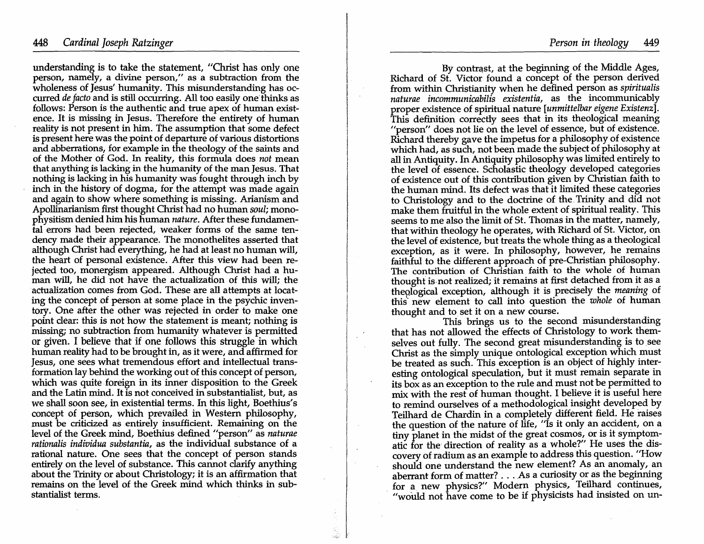understanding is to take the statement, "Christ has only one person, namely, a divine person," as a subtraction from the wholeness of Jesus' humanity. This misunderstanding has occurred de facto and is still occurring. All too easily one thinks as follows: Person is the authentic and true apex of human existence. It is missing in Jesus. Therefore the entirety of human reality is not present in him. The assumption that some defect is present here was the point of departure of various distortions and abberrations, for example in the theology of the saints and of the Mother of God. In reality, this formula does not mean that anything is lacking in the humanity of the man Jesus. That nothing is lacking in his humanity was fought through inch by inch in the history of dogma, for the attempt was made again and again to show where something is missing. Arianism and Apollinarianism first thought Christ had no human soul; monophysitism denied him his human *nature*. After these fundamental errors had been rejected, weaker forms of the same tendency made their appearance. The monothelites asserted that although Christ had everything, he had at least no human will, the heart of personal existence. After this view had been rejected too, monergism appeared. Although Christ had a human will, he did not have the actualization of this will; the actualization comes from God. These are all attempts at locating the concept of person at some place in the psychic inventory. One after the other was rejected in order to make one point clear: this is not how the statement is meant; nothing is missing; no subtraction from humanity whatever is permitted or given. I believe that if one follows this struggle in which human reality had to be brought in, as it were, and affirmed for Jesus, one sees what tremendous effort and intellectual transformation lay behind the working out of this concept of person, which was quite foreign in its inner disposition to the Greek and the Latin mind. It is not conceived in substantialist, but, as we shall soon see, in existential terms. In this light, Boethius's concept of person, which prevailed in Western philosophy, must be criticized as entirely insufficient. Remaining on the level of the Greek mind, Boethius defined "person" as naturae rationalis individua substantia, as the individual substance of a rational nature. One sees that the concept of person stands entirely on the level of substance. This cannot clarify anything about the Trinity or about Christology; it is an affirmation that remains on the level of the Greek mind which thinks in substantialist terms.

By contrast, at the beginning of the Middle Ages, Richard of St. Victor found a concept of the person derived from within Christianity when he defined person as spiritualis naturae incommunicabilis existentia, as the incommunicably proper existence of spiritual nature [unmittelbar eigene Existenz]. This definition correctly sees that in its theological meaning "person" does not lie on the level of essence, but of existence. Richard thereby gave the impetus for a philosophy of existence which had, as such, not been made the subject of philosophy at all in Antiquity. In Antiquity philosophy was limited entirely to the level of essence. Scholastic theology developed categories of existence out of this contribution given by Christian faith to the human mind. Its defect was that it limited these categories to Christology and to the doctrine of the Trinity and did not make them fruitful in the whole extent of spiritual reality. This seems to me also the limit of St. Thomas in the matter, namely, that within theology he operates, with Richard of St. Victor, on the level of existence, but treats the whole thing as a theological exception, as it were. In philosophy, however, he remains faithful to the different approach of pre-Christian philosophy. The contribution of Christian faith to the whole of human thought is not realized; it remains at first detached from it as a theological exception, although it is precisely the meaning of this new element to call into question the whole of human thought and to set it on a new course.

This brings us to the second misunderstanding that has not allowed the effects of Christology to work themselves out fully. The second great misunderstanding is to see Christ as the simply unique ontological exception which must be treated as such. This exception is an object of highly interesting ontological speculation, but it must remain separate in its box as an exception to the rule and must not be permitted to mix with the rest of human thought. I believe it is useful here to remind ourselves of a methodological insight developed by Teilhard de Chardin in a completely different field. He raises the question of the nature of life, "Is it only an accident, on a tiny planet in the midst of the great cosmos, or is it symptomatic for the direction of reality as a whole?" He uses the discovery of radium as an example to address this question. "How should one understand the new element? As an anomaly, an aberrant form of matter? . . . As a curiosity or as the beginning for a new physics?" Modern physics, Teilhard continues, "would not have come to be if physicists had insisted on un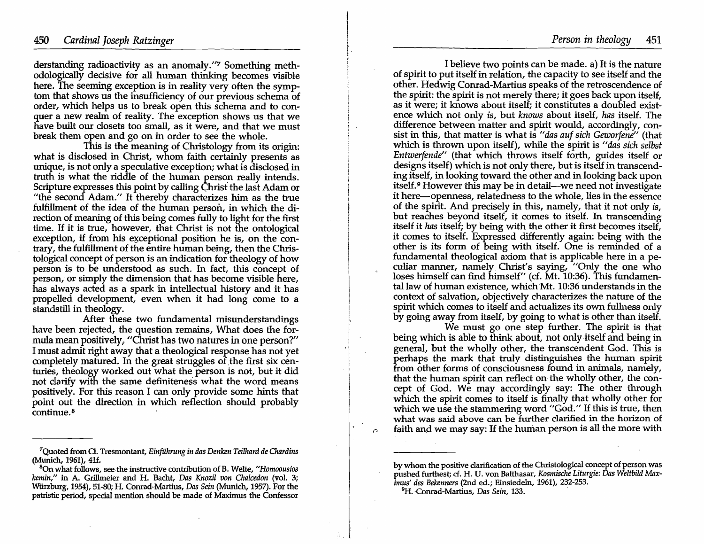derstanding radioactivity as an anomaly."7 Something methodologically decisive for all human thinking becomes visible here. The seeming exception is in reality very often the symptom that shows us the insufficiency of our previous schema of order, which helps us to break open this schema and to conquer a new realm of reality. The exception shows us that we have built our closets too small, as it were, and that we must break them open and go on in order to see the whole.

!<br>!

**E** 

I.

1

This is the meaning of Christology from its origin: what is disclosed in Christ, whom faith certainly presents as unique, is not only a speculative exception; what is disclosed in truth is what the riddle of the human person really intends. Scripture expresses this point by calling Christ the last Adam or "the second Adam." It thereby characterizes him as the true fulfillment of the idea of the human person, in which the direction of meaning of this being comes fully to light for the first time. If it is true, however, that Christ is not the ontological exception, if from his ezceptional position he is, on the con**trary,** the fulfillment of the entire human being, then the Christological concept of person is an indication for theology of how person is to be understood as such. In fact, this concept of person, or simply the dimension that has become visible here, has always acted as a spark in intellectual history and it has propelled development, even when it had long come to a standstill in theology.

After these two fundamental misunderstandings have been rejected, the question remains, What does the formula mean positively, "Christ has two natures in one person?" I must admit right away that a theological response has not yet completely matured. In the great struggles of the first six centuries, theology worked out what the person is not, but it did not clarify with the same definiteness what the word means positively. For this reason I can only provide some hints that point out the direction in which reflection should probably continue.<sup>8</sup>

I believe two points can be made. a) It is the nature of spirit to put itself in relation, the capacity to see itself and the other. Hedwig Conrad-Martius speaks of the retroscendence of the spirit: the spirit is not merely there; it goes back upon itself. as it were; it knows about itself; it constitutes a doubled existence which not only is, but knows about itself, has itself. The difference between matter and spirit would, accordingly, consist in this, that matter is what is "das auf sich Geworfene" (that which is thrown upon itself), while the spirit is "das sich selbst Entwerfende" (that which throws itself forth, guides itself or designs itself) which is not only there, but is itself in transcending itself, in looking toward the other and in looking back upon itself.<sup>9</sup> However this may be in detail—we need not investigate it here-openness, relatedness to the whole, lies in the essence of the spirit. And precisely in this, namely, that it not only is, but reaches beyond itself, it comes to itself. In transcending itself it has itself; by being with the other it first becomes itself, it comes to itself. Expressed differently again: being with the other is its form of being with itself. One is reminded of a fundamental theological axiom that is applicable here in a peculiar manner, namely Christ's saying, "Only the one who loses himself can find himself" (cf. Mt. 10:36). This fundamental law of human existence, which'Mt. 10:36 understands in the context of salvation, objectively characterizes the nature of the spirit which comes to itself and actualizes its own fullness only by going away from itself, by going to what is other than itself.

We must go one step further. The spirit is that being which is able to think about, not only itself and being in general, but the wholly other, the transcendent God. This is perhaps the mark that truly distinguishes the human spirit from other forms of consciousness found in animals, namely, that the human spirit can reflect on the wholly other, the concept of God. We may accordingly say: The other through which the spirit comes to itself is finally that wholly other for which we use the stammering word "God." If this is true, then what was said above **can** be further clarified in the horizon of  $\sigma$  faith and we may say: If the human person is all the more with

<sup>9</sup>H. Conrad-Martius, Das Sein, 133.

**<sup>7</sup>Quoted from Q. Tresmontant, Einfiihrung in das Denken Teilhard de Chardins (Munich, 1961), 41f.** 

<sup>&</sup>lt;sup>8</sup>On what follows, see the instructive contribution of B. Welte, "Homoousios hemin," in A. Grillmeier and H. Bacht, Das Knozil von Chalcedon (vol. 3; Würzburg, 1954), 51-80; H. Conrad-Martius, Das Sein (Munich, 1957). For the **patristic period, speciid mention should be made of Maximus the Confessor** 

**by whom the positive clarification of the Christological concept of person was pushed furthest; cf. H. U. von Balthasar, Kosmische Liturgie:** *Das* **Weltbild** *Max***imus' des Bekenws (2nd ed.; Einsiedeln, 1961), 232-253.**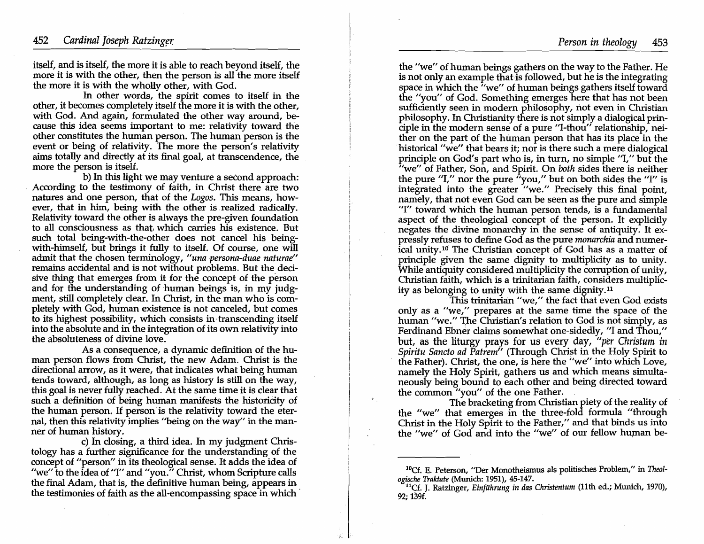#### Cardinal Joseph Ratzinger 452

itself, and is itself, the more it is able to reach beyond itself, the more it is with the other, then the person is all the more itself the more it is with the wholly other, with God.

In other words, the spirit comes to itself in the other, it becomes completely itself the more it is with the other, with God. And again, formulated the other way around, because this idea seems important to me: relativity toward the other constitutes the human person. The human person is the event or being of relativity. The more the person's relativity aims totally and directly at its final goal, at transcendence, the more the person is itself.

b) In this light we may venture a second approach: According to the testimony of faith, in Christ there are two natures and one person, that of the Logos. This means, however, that in him, being with the other is realized radically. Relativity toward the other is always the pre-given foundation to all consciousness as that which carries his existence. But such total being-with-the-other does not cancel his beingwith-himself, but brings it fully to itself. Of course, one will admit that the chosen terminology, "una persona-duae naturae" remains accidental and is not without problems. But the decisive thing that emerges from it for the concept of the person and for the understanding of human beings is, in my judgment, still completely clear. In Christ, in the man who is completely with God, human existence is not canceled, but comes to its highest possibility, which consists in transcending itself into the absolute and in the integration of its own relativity into the absoluteness of divine love.

As a consequence, a dynamic definition of the human person flows from Christ, the new Adam. Christ is the directional arrow, as it were, that indicates what being human tends toward, although, as long as history is still on the way, this goal is never fully reached. At the same time it is clear that such a definition of being human manifests the historicity of the human person. If person is the relativity toward the eternal, then this relativity implies "being on the way" in the manner of human history.

c) In closing, a third idea. In my judgment Christology has a further significance for the understanding of the concept of "person" in its theological sense. It adds the idea of "we" to the idea of "I" and "you." Christ, whom Scripture calls the final Adam, that is, the definitive human being, appears in the testimonies of faith as the all-encompassing space in which

the "we" of human beings gathers on the way to the Father. He is not only an example that is followed, but he is the integrating space in which the "we" of human beings gathers itself toward the "you" of God. Something emerges here that has not been sufficiently seen in modern philosophy, not even in Christian philosophy. In Christianity there is not simply a dialogical principle in the modern sense of a pure "I-thou" relationship, neither on the part of the human person that has its place in the historical "we" that bears it; nor is there such a mere dialogical principle on God's part who is, in turn, no simple "I," but the "we" of Father, Son, and Spirit. On both sides there is neither the pure "I," nor the pure "you," but on both sides the "I" is integrated into the greater "we." Precisely this final point, namely, that not even God can be seen as the pure and simple "I" toward which the human person tends, is a fundamental aspect of the theological concept of the person. It explicitly negates the divine monarchy in the sense of antiquity. It expressly refuses to define God as the pure *monarchia* and numerical unity.<sup>10</sup> The Christian concept of God has as a matter of principle given the same dignity to multiplicity as to unity. While antiquity considered multiplicity the corruption of unity, Christian faith, which is a trinitarian faith, considers multiplicity as belonging to unity with the same dignity.<sup>11</sup>

This trinitarian "we," the fact that even God exists only as a "we," prepares at the same time the space of the human "we." The Christian's relation to God is not simply, as Ferdinand Ebner claims somewhat one-sidedly, "I and Thou," but, as the liturgy prays for us every day, "per Christum in Spiritu Sancto ad Patrem" (Through Christ in the Holy Spirit to the Father). Christ, the one, is here the "we" into which Love, namely the Holy Spirit, gathers us and which means simultaneously being bound to each other and being directed toward the common "you" of the one Father.

The bracketing from Christian piety of the reality of the "we" that emerges in the three-fold formula "through Christ in the Holy Spirit to the Father," and that binds us into the "we" of God and into the "we" of our fellow human be-

<sup>&</sup>lt;sup>10</sup>Cf. E. Peterson, "Der Monotheismus als politisches Problem," in Theologische Traktate (Munich: 1951), 45-147.

<sup>&</sup>lt;sup>11</sup>Cf. J. Ratzinger, Einführung in das Christentum (11th ed.; Munich, 1970), 92; 139f.